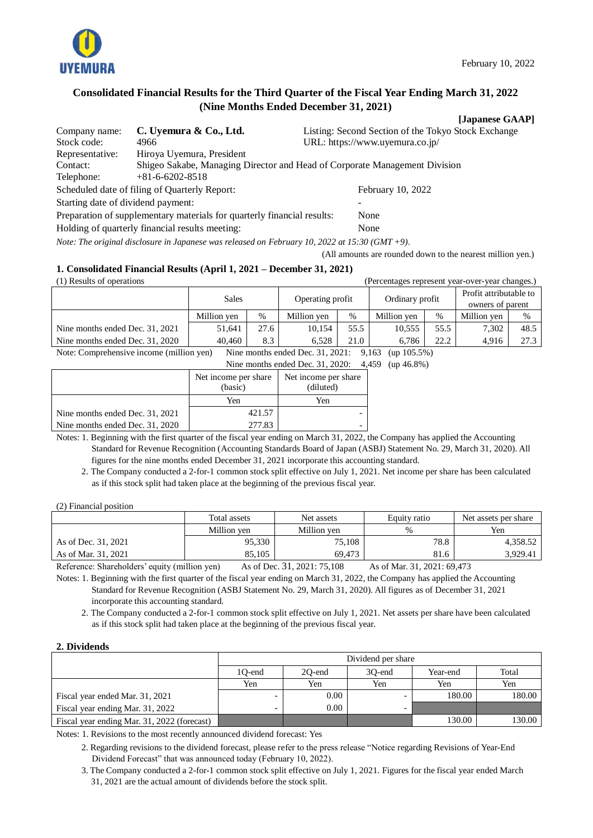

**[Japanese GAAP]**

## **Consolidated Financial Results for the Third Quarter of the Fiscal Year Ending March 31, 2022 (Nine Months Ended December 31, 2021)**

| Company name:                      | C. Uyemura & Co., Ltd.                                                     | Listing: Second Section of the Tokyo Stock Exchange |  |
|------------------------------------|----------------------------------------------------------------------------|-----------------------------------------------------|--|
| Stock code:                        | 4966                                                                       | URL: https://www.uyemura.co.jp/                     |  |
| Representative:                    | Hiroya Uyemura, President                                                  |                                                     |  |
| Contact:                           | Shigeo Sakabe, Managing Director and Head of Corporate Management Division |                                                     |  |
| Telephone:                         | $+81 - 6 - 6202 - 8518$                                                    |                                                     |  |
|                                    | Scheduled date of filing of Quarterly Report:                              | February 10, 2022                                   |  |
| Starting date of dividend payment: |                                                                            |                                                     |  |
|                                    | Preparation of supplementary materials for quarterly financial results:    | None                                                |  |
|                                    | Holding of quarterly financial results meeting:                            | None                                                |  |

*Note: The original disclosure in Japanese was released on February 10, 2022 at 15:30 (GMT +9).*

(All amounts are rounded down to the nearest million yen.)

## **1. Consolidated Financial Results (April 1, 2021 – December 31, 2021)**

| (1) Results of operations<br>(Percentages represent year-over-year changes.)                            |                                                     |   |                  |      |             |                        |             |   |
|---------------------------------------------------------------------------------------------------------|-----------------------------------------------------|---|------------------|------|-------------|------------------------|-------------|---|
|                                                                                                         |                                                     |   |                  |      |             | Profit attributable to |             |   |
|                                                                                                         | <b>Sales</b><br>Operating profit<br>Ordinary profit |   | owners of parent |      |             |                        |             |   |
|                                                                                                         | Million yen                                         | % | Million yen      | $\%$ | Million yen | $\%$                   | Million yen | % |
| 27.6<br>10,555<br>55.5<br>7.302<br>Nine months ended Dec. 31, 2021<br>51.641<br>10.154<br>55.5          |                                                     |   |                  |      |             | 48.5                   |             |   |
| 22.2<br>Nine months ended Dec. 31, 2020<br>40.460<br>8.3<br>21.0<br>4,916<br>6.528<br>6.786             |                                                     |   |                  |      |             |                        | 27.3        |   |
| Note: Comprehensive income (million yen)<br>Nine months ended Dec. 31, 2021:<br>$(up 105.5\%)$<br>9,163 |                                                     |   |                  |      |             |                        |             |   |

Nine months ended Dec. 31, 2020: 4,459 (up 46.8%)

|                                 | Net income per share<br>(basic) | Net income per share<br>(diluted) |  |
|---------------------------------|---------------------------------|-----------------------------------|--|
|                                 | Yen                             | Yen                               |  |
| Nine months ended Dec. 31, 2021 | 421.57                          |                                   |  |
| Nine months ended Dec. 31, 2020 | 277.83                          |                                   |  |

Notes: 1. Beginning with the first quarter of the fiscal year ending on March 31, 2022, the Company has applied the Accounting Standard for Revenue Recognition (Accounting Standards Board of Japan (ASBJ) Statement No. 29, March 31, 2020). All figures for the nine months ended December 31, 2021 incorporate this accounting standard.

2. The Company conducted a 2-for-1 common stock split effective on July 1, 2021. Net income per share has been calculated as if this stock split had taken place at the beginning of the previous fiscal year.

#### (2) Financial position

|                     | Total assets                                                                                                    | Net assets  | Equity ratio | Net assets per share |
|---------------------|-----------------------------------------------------------------------------------------------------------------|-------------|--------------|----------------------|
|                     | Million yen                                                                                                     | Million yen | $\%$         | Yen                  |
| As of Dec. 31, 2021 | 95,330                                                                                                          | 75,108      | 78.8         | 4.358.52             |
| As of Mar. 31, 2021 | 85.105                                                                                                          | 69.473      | 81.6         | 3,929.41             |
|                     | the contract of the contract of the contract of the contract of the contract of the contract of the contract of |             |              |                      |

Reference: Shareholders' equity (million yen) As of Dec. 31, 2021: 75,108 As of Mar. 31, 2021: 69,473

Notes: 1. Beginning with the first quarter of the fiscal year ending on March 31, 2022, the Company has applied the Accounting Standard for Revenue Recognition (ASBJ Statement No. 29, March 31, 2020). All figures as of December 31, 2021 incorporate this accounting standard.

2. The Company conducted a 2-for-1 common stock split effective on July 1, 2021. Net assets per share have been calculated as if this stock split had taken place at the beginning of the previous fiscal year.

#### **2. Dividends**

|                                             |        | Dividend per share                    |     |        |        |  |  |  |
|---------------------------------------------|--------|---------------------------------------|-----|--------|--------|--|--|--|
|                                             | 1O-end | Total<br>20-end<br>Year-end<br>30-end |     |        |        |  |  |  |
|                                             | Yen    | Yen                                   | Yen | Yen    | Yen    |  |  |  |
| Fiscal year ended Mar. 31, 2021             | -      | 0.00                                  |     | 180.00 | 180.00 |  |  |  |
| Fiscal year ending Mar. 31, 2022            | -      | 0.00                                  | -   |        |        |  |  |  |
| Fiscal year ending Mar. 31, 2022 (forecast) |        |                                       |     | 130.00 | 130.00 |  |  |  |

Notes: 1. Revisions to the most recently announced dividend forecast: Yes

- 2. Regarding revisions to the dividend forecast, please refer to the press release "Notice regarding Revisions of Year-End Dividend Forecast" that was announced today (February 10, 2022).
- 3. The Company conducted a 2-for-1 common stock split effective on July 1, 2021. Figures for the fiscal year ended March 31, 2021 are the actual amount of dividends before the stock split.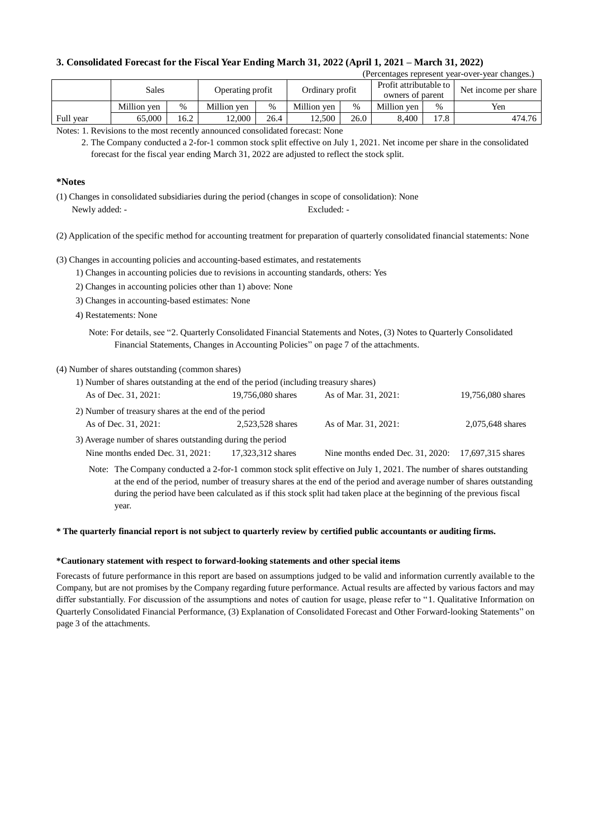### **3. Consolidated Forecast for the Fiscal Year Ending March 31, 2022 (April 1, 2021 – March 31, 2022)**

|  | (Percentages represent year-over-year changes.) |  |
|--|-------------------------------------------------|--|
|  |                                                 |  |

|           | Sales       |      | Operating profit |      | Ordinary profit |      | Profit attributable to<br>owners of parent |               | Net income per share |
|-----------|-------------|------|------------------|------|-----------------|------|--------------------------------------------|---------------|----------------------|
|           | Million ven | $\%$ | Million ven      | $\%$ | Million ven     | $\%$ | Million ven                                | $\frac{0}{0}$ | Yen                  |
| Full year | 65.000      | .6.2 | 12.000           | 26.4 | 12.500          | 26.0 | 8.400                                      | 17.8          | 474.76               |

Notes: 1. Revisions to the most recently announced consolidated forecast: None

#### **\*Notes**

- (1) Changes in consolidated subsidiaries during the period (changes in scope of consolidation): None Newly added: - Excluded: -
- (2) Application of the specific method for accounting treatment for preparation of quarterly consolidated financial statements: None

(3) Changes in accounting policies and accounting-based estimates, and restatements

- 1) Changes in accounting policies due to revisions in accounting standards, others: Yes
- 2) Changes in accounting policies other than 1) above: None
- 3) Changes in accounting-based estimates: None
- 4) Restatements: None
	- Note: For details, see "2. Quarterly Consolidated Financial Statements and Notes, (3) Notes to Quarterly Consolidated Financial Statements, Changes in Accounting Policies" on page 7 of the attachments.

#### (4) Number of shares outstanding (common shares)

| 1) Number of shares outstanding at the end of the period (including treasury shares) |                   |                                                    |                   |
|--------------------------------------------------------------------------------------|-------------------|----------------------------------------------------|-------------------|
| As of Dec. 31, 2021:                                                                 | 19,756,080 shares | As of Mar. 31, 2021:                               | 19,756,080 shares |
| 2) Number of treasury shares at the end of the period                                |                   |                                                    |                   |
| As of Dec. 31, 2021:                                                                 | 2.523.528 shares  | As of Mar. 31, 2021:                               | 2,075,648 shares  |
| 3) Average number of shares outstanding during the period                            |                   |                                                    |                   |
| Nine months ended Dec. 31, 2021:                                                     | 17,323,312 shares | Nine months ended Dec. 31, 2020: 17,697,315 shares |                   |

Note: The Company conducted a 2-for-1 common stock split effective on July 1, 2021. The number of shares outstanding at the end of the period, number of treasury shares at the end of the period and average number of shares outstanding during the period have been calculated as if this stock split had taken place at the beginning of the previous fiscal year.

#### **\* The quarterly financial report is not subject to quarterly review by certified public accountants or auditing firms.**

#### **\*Cautionary statement with respect to forward-looking statements and other special items**

Forecasts of future performance in this report are based on assumptions judged to be valid and information currently available to the Company, but are not promises by the Company regarding future performance. Actual results are affected by various factors and may differ substantially. For discussion of the assumptions and notes of caution for usage, please refer to "1. Qualitative Information on Quarterly Consolidated Financial Performance, (3) Explanation of Consolidated Forecast and Other Forward-looking Statements" on page 3 of the attachments.

<sup>2.</sup> The Company conducted a 2-for-1 common stock split effective on July 1, 2021. Net income per share in the consolidated forecast for the fiscal year ending March 31, 2022 are adjusted to reflect the stock split.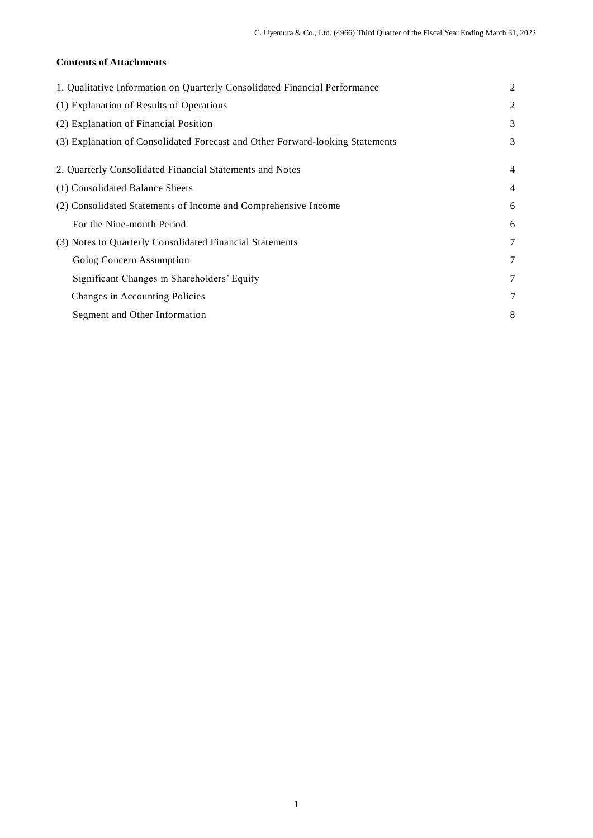## **Contents of Attachments**

| 1. Qualitative Information on Quarterly Consolidated Financial Performance    | $\overline{2}$ |
|-------------------------------------------------------------------------------|----------------|
| (1) Explanation of Results of Operations                                      | 2              |
| (2) Explanation of Financial Position                                         | 3              |
| (3) Explanation of Consolidated Forecast and Other Forward-looking Statements | 3              |
| 2. Quarterly Consolidated Financial Statements and Notes                      | 4              |
| (1) Consolidated Balance Sheets                                               | 4              |
| (2) Consolidated Statements of Income and Comprehensive Income                | 6              |
| For the Nine-month Period                                                     | 6              |
| (3) Notes to Quarterly Consolidated Financial Statements                      | 7              |
| Going Concern Assumption                                                      | 7              |
| Significant Changes in Shareholders' Equity                                   | 7              |
| Changes in Accounting Policies                                                | 7              |
| Segment and Other Information                                                 | 8              |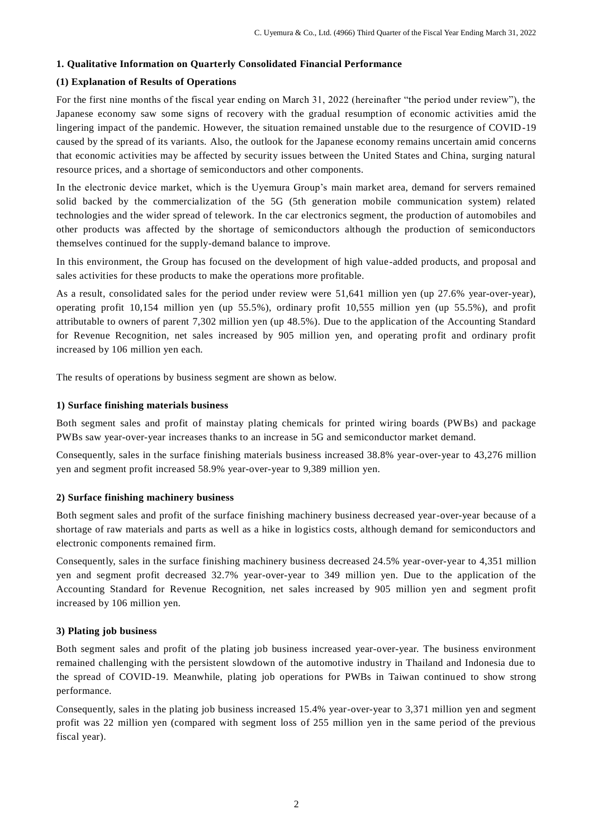### **1. Qualitative Information on Quarterly Consolidated Financial Performance**

## **(1) Explanation of Results of Operations**

For the first nine months of the fiscal year ending on March 31, 2022 (hereinafter "the period under review"), the Japanese economy saw some signs of recovery with the gradual resumption of economic activities amid the lingering impact of the pandemic. However, the situation remained unstable due to the resurgence of COVID-19 caused by the spread of its variants. Also, the outlook for the Japanese economy remains uncertain amid concerns that economic activities may be affected by security issues between the United States and China, surging natural resource prices, and a shortage of semiconductors and other components.

In the electronic device market, which is the Uyemura Group's main market area, demand for servers remained solid backed by the commercialization of the 5G (5th generation mobile communication system) related technologies and the wider spread of telework. In the car electronics segment, the production of automobiles and other products was affected by the shortage of semiconductors although the production of semiconductors themselves continued for the supply-demand balance to improve.

In this environment, the Group has focused on the development of high value-added products, and proposal and sales activities for these products to make the operations more profitable.

As a result, consolidated sales for the period under review were 51,641 million yen (up 27.6% year-over-year), operating profit 10,154 million yen (up 55.5%), ordinary profit 10,555 million yen (up 55.5%), and profit attributable to owners of parent 7,302 million yen (up 48.5%). Due to the application of the Accounting Standard for Revenue Recognition, net sales increased by 905 million yen, and operating profit and ordinary profit increased by 106 million yen each.

The results of operations by business segment are shown as below.

#### **1) Surface finishing materials business**

Both segment sales and profit of mainstay plating chemicals for printed wiring boards (PWBs) and package PWBs saw year-over-year increases thanks to an increase in 5G and semiconductor market demand.

Consequently, sales in the surface finishing materials business increased 38.8% year-over-year to 43,276 million yen and segment profit increased 58.9% year-over-year to 9,389 million yen.

#### **2) Surface finishing machinery business**

Both segment sales and profit of the surface finishing machinery business decreased year-over-year because of a shortage of raw materials and parts as well as a hike in logistics costs, although demand for semiconductors and electronic components remained firm.

Consequently, sales in the surface finishing machinery business decreased 24.5% year-over-year to 4,351 million yen and segment profit decreased 32.7% year-over-year to 349 million yen. Due to the application of the Accounting Standard for Revenue Recognition, net sales increased by 905 million yen and segment profit increased by 106 million yen.

#### **3) Plating job business**

Both segment sales and profit of the plating job business increased year-over-year. The business environment remained challenging with the persistent slowdown of the automotive industry in Thailand and Indonesia due to the spread of COVID-19. Meanwhile, plating job operations for PWBs in Taiwan continued to show strong performance.

Consequently, sales in the plating job business increased 15.4% year-over-year to 3,371 million yen and segment profit was 22 million yen (compared with segment loss of 255 million yen in the same period of the previous fiscal year).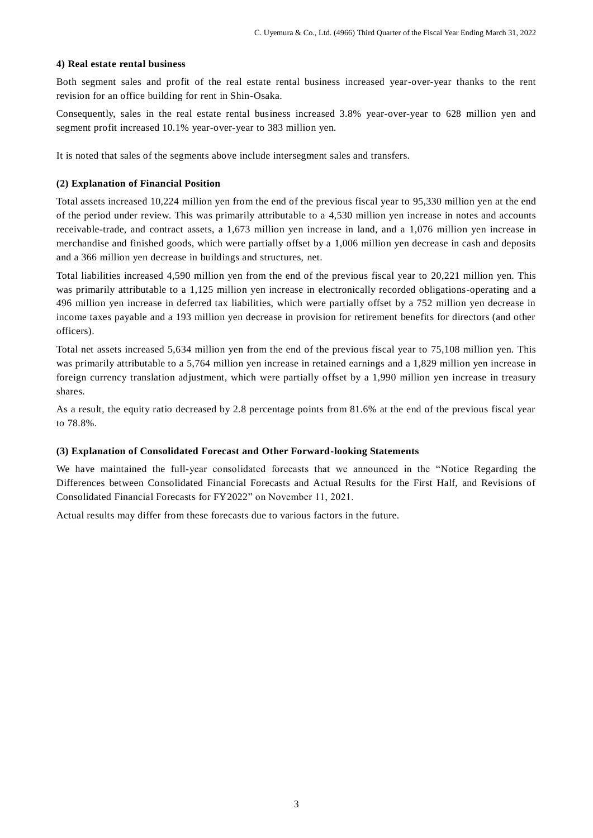#### **4) Real estate rental business**

Both segment sales and profit of the real estate rental business increased year-over-year thanks to the rent revision for an office building for rent in Shin-Osaka.

Consequently, sales in the real estate rental business increased 3.8% year-over-year to 628 million yen and segment profit increased 10.1% year-over-year to 383 million yen.

It is noted that sales of the segments above include intersegment sales and transfers.

### **(2) Explanation of Financial Position**

Total assets increased 10,224 million yen from the end of the previous fiscal year to 95,330 million yen at the end of the period under review. This was primarily attributable to a 4,530 million yen increase in notes and accounts receivable-trade, and contract assets, a 1,673 million yen increase in land, and a 1,076 million yen increase in merchandise and finished goods, which were partially offset by a 1,006 million yen decrease in cash and deposits and a 366 million yen decrease in buildings and structures, net.

Total liabilities increased 4,590 million yen from the end of the previous fiscal year to 20,221 million yen. This was primarily attributable to a 1,125 million yen increase in electronically recorded obligations-operating and a 496 million yen increase in deferred tax liabilities, which were partially offset by a 752 million yen decrease in income taxes payable and a 193 million yen decrease in provision for retirement benefits for directors (and other officers).

Total net assets increased 5,634 million yen from the end of the previous fiscal year to 75,108 million yen. This was primarily attributable to a 5,764 million yen increase in retained earnings and a 1,829 million yen increase in foreign currency translation adjustment, which were partially offset by a 1,990 million yen increase in treasury shares.

As a result, the equity ratio decreased by 2.8 percentage points from 81.6% at the end of the previous fiscal year to 78.8%.

#### **(3) Explanation of Consolidated Forecast and Other Forward-looking Statements**

We have maintained the full-year consolidated forecasts that we announced in the "Notice Regarding the Differences between Consolidated Financial Forecasts and Actual Results for the First Half, and Revisions of Consolidated Financial Forecasts for FY2022" on November 11, 2021.

Actual results may differ from these forecasts due to various factors in the future.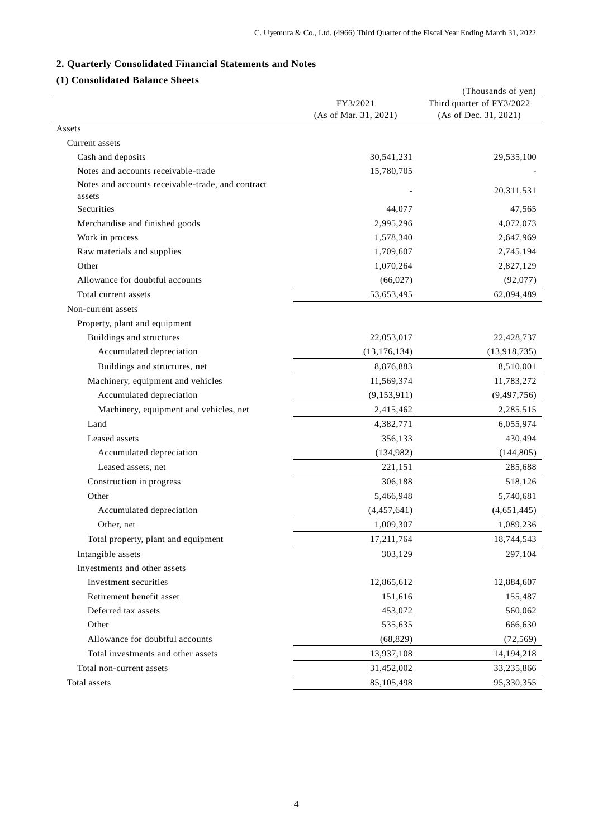# **2. Quarterly Consolidated Financial Statements and Notes**

## **(1) Consolidated Balance Sheets**

|                                                   |                       | (Thousands of yen)        |
|---------------------------------------------------|-----------------------|---------------------------|
|                                                   | FY3/2021              | Third quarter of FY3/2022 |
|                                                   | (As of Mar. 31, 2021) | (As of Dec. 31, 2021)     |
| Assets                                            |                       |                           |
| Current assets                                    |                       |                           |
| Cash and deposits                                 | 30,541,231            | 29,535,100                |
| Notes and accounts receivable-trade               | 15,780,705            |                           |
| Notes and accounts receivable-trade, and contract |                       | 20,311,531                |
| assets                                            |                       |                           |
| <b>Securities</b>                                 | 44,077                | 47,565                    |
| Merchandise and finished goods                    | 2,995,296             | 4,072,073                 |
| Work in process                                   | 1,578,340             | 2,647,969                 |
| Raw materials and supplies                        | 1,709,607             | 2,745,194                 |
| Other                                             | 1,070,264             | 2,827,129                 |
| Allowance for doubtful accounts                   | (66, 027)             | (92,077)                  |
| Total current assets                              | 53,653,495            | 62,094,489                |
| Non-current assets                                |                       |                           |
| Property, plant and equipment                     |                       |                           |
| Buildings and structures                          | 22,053,017            | 22,428,737                |
| Accumulated depreciation                          | (13, 176, 134)        | (13,918,735)              |
| Buildings and structures, net                     | 8,876,883             | 8,510,001                 |
| Machinery, equipment and vehicles                 | 11,569,374            | 11,783,272                |
| Accumulated depreciation                          | (9,153,911)           | (9,497,756)               |
| Machinery, equipment and vehicles, net            | 2,415,462             | 2,285,515                 |
| Land                                              | 4,382,771             | 6,055,974                 |
| Leased assets                                     | 356,133               | 430,494                   |
| Accumulated depreciation                          | (134,982)             | (144, 805)                |
| Leased assets, net                                | 221,151               | 285,688                   |
| Construction in progress                          | 306,188               | 518,126                   |
| Other                                             | 5,466,948             | 5,740,681                 |
| Accumulated depreciation                          | (4,457,641)           | (4,651,445)               |
| Other, net                                        | 1,009,307             | 1,089,236                 |
| Total property, plant and equipment               | 17,211,764            | 18,744,543                |
| Intangible assets                                 | 303,129               | 297,104                   |
| Investments and other assets                      |                       |                           |
| Investment securities                             | 12,865,612            | 12,884,607                |
| Retirement benefit asset                          | 151,616               | 155,487                   |
| Deferred tax assets                               | 453,072               | 560,062                   |
| Other                                             | 535,635               | 666,630                   |
| Allowance for doubtful accounts                   | (68, 829)             | (72, 569)                 |
| Total investments and other assets                | 13,937,108            | 14, 194, 218              |
| Total non-current assets                          | 31,452,002            |                           |
|                                                   |                       | 33,235,866                |
| Total assets                                      | 85,105,498            | 95,330,355                |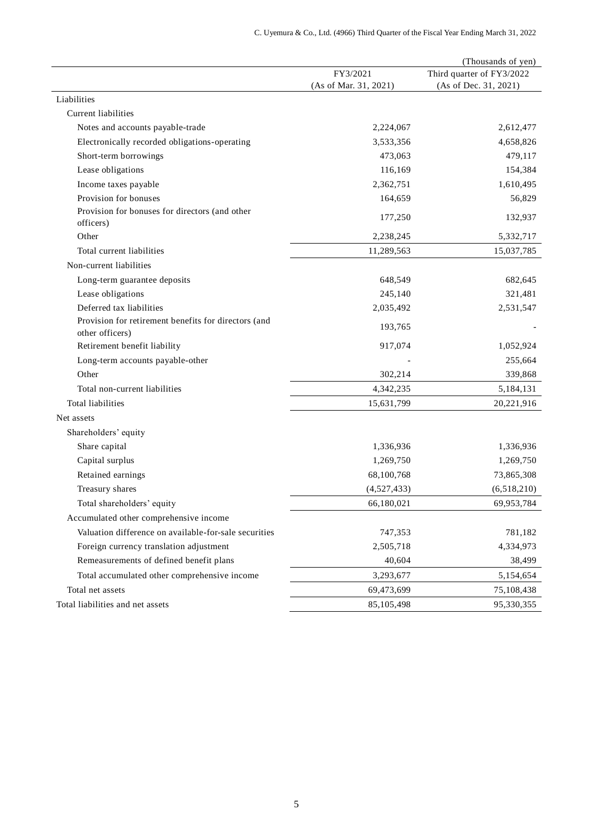| FY3/2021<br>(As of Mar. 31, 2021)<br>(As of Dec. 31, 2021)<br>Liabilities<br>Current liabilities<br>2,224,067<br>Notes and accounts payable-trade<br>2,612,477<br>Electronically recorded obligations-operating<br>3,533,356<br>4,658,826<br>Short-term borrowings<br>473,063<br>479,117<br>Lease obligations<br>116,169<br>154,384<br>2,362,751<br>1,610,495<br>Income taxes payable<br>Provision for bonuses<br>164,659<br>56,829<br>Provision for bonuses for directors (and other<br>132,937<br>177,250<br>officers)<br>Other<br>2,238,245<br>5,332,717<br>Total current liabilities<br>11,289,563<br>15,037,785<br>Non-current liabilities<br>648,549<br>Long-term guarantee deposits<br>682,645<br>Lease obligations<br>245,140<br>321,481<br>Deferred tax liabilities<br>2,531,547<br>2,035,492<br>Provision for retirement benefits for directors (and<br>193,765<br>other officers)<br>Retirement benefit liability<br>917,074<br>1,052,924<br>255,664<br>Long-term accounts payable-other<br>302,214<br>Other<br>339,868<br>Total non-current liabilities<br>4,342,235<br>5,184,131<br>Total liabilities<br>15,631,799<br>20,221,916<br>Net assets<br>Shareholders' equity<br>Share capital<br>1,336,936<br>1,336,936<br>Capital surplus<br>1,269,750<br>1,269,750<br>Retained earnings<br>68,100,768<br>73,865,308<br>Treasury shares<br>(4,527,433)<br>(6,518,210)<br>Total shareholders' equity<br>66,180,021<br>69,953,784<br>Accumulated other comprehensive income<br>Valuation difference on available-for-sale securities<br>747,353<br>781,182<br>Foreign currency translation adjustment<br>4,334,973<br>2,505,718<br>Remeasurements of defined benefit plans<br>40,604<br>38,499<br>Total accumulated other comprehensive income<br>3,293,677<br>5,154,654<br>Total net assets<br>69,473,699<br>75,108,438<br>Total liabilities and net assets<br>85,105,498<br>95,330,355 |  | (Thousands of yen)        |
|-------------------------------------------------------------------------------------------------------------------------------------------------------------------------------------------------------------------------------------------------------------------------------------------------------------------------------------------------------------------------------------------------------------------------------------------------------------------------------------------------------------------------------------------------------------------------------------------------------------------------------------------------------------------------------------------------------------------------------------------------------------------------------------------------------------------------------------------------------------------------------------------------------------------------------------------------------------------------------------------------------------------------------------------------------------------------------------------------------------------------------------------------------------------------------------------------------------------------------------------------------------------------------------------------------------------------------------------------------------------------------------------------------------------------------------------------------------------------------------------------------------------------------------------------------------------------------------------------------------------------------------------------------------------------------------------------------------------------------------------------------------------------------------------------------------------------------------------------------------------------------------------------|--|---------------------------|
|                                                                                                                                                                                                                                                                                                                                                                                                                                                                                                                                                                                                                                                                                                                                                                                                                                                                                                                                                                                                                                                                                                                                                                                                                                                                                                                                                                                                                                                                                                                                                                                                                                                                                                                                                                                                                                                                                                 |  | Third quarter of FY3/2022 |
|                                                                                                                                                                                                                                                                                                                                                                                                                                                                                                                                                                                                                                                                                                                                                                                                                                                                                                                                                                                                                                                                                                                                                                                                                                                                                                                                                                                                                                                                                                                                                                                                                                                                                                                                                                                                                                                                                                 |  |                           |
|                                                                                                                                                                                                                                                                                                                                                                                                                                                                                                                                                                                                                                                                                                                                                                                                                                                                                                                                                                                                                                                                                                                                                                                                                                                                                                                                                                                                                                                                                                                                                                                                                                                                                                                                                                                                                                                                                                 |  |                           |
|                                                                                                                                                                                                                                                                                                                                                                                                                                                                                                                                                                                                                                                                                                                                                                                                                                                                                                                                                                                                                                                                                                                                                                                                                                                                                                                                                                                                                                                                                                                                                                                                                                                                                                                                                                                                                                                                                                 |  |                           |
|                                                                                                                                                                                                                                                                                                                                                                                                                                                                                                                                                                                                                                                                                                                                                                                                                                                                                                                                                                                                                                                                                                                                                                                                                                                                                                                                                                                                                                                                                                                                                                                                                                                                                                                                                                                                                                                                                                 |  |                           |
|                                                                                                                                                                                                                                                                                                                                                                                                                                                                                                                                                                                                                                                                                                                                                                                                                                                                                                                                                                                                                                                                                                                                                                                                                                                                                                                                                                                                                                                                                                                                                                                                                                                                                                                                                                                                                                                                                                 |  |                           |
|                                                                                                                                                                                                                                                                                                                                                                                                                                                                                                                                                                                                                                                                                                                                                                                                                                                                                                                                                                                                                                                                                                                                                                                                                                                                                                                                                                                                                                                                                                                                                                                                                                                                                                                                                                                                                                                                                                 |  |                           |
|                                                                                                                                                                                                                                                                                                                                                                                                                                                                                                                                                                                                                                                                                                                                                                                                                                                                                                                                                                                                                                                                                                                                                                                                                                                                                                                                                                                                                                                                                                                                                                                                                                                                                                                                                                                                                                                                                                 |  |                           |
|                                                                                                                                                                                                                                                                                                                                                                                                                                                                                                                                                                                                                                                                                                                                                                                                                                                                                                                                                                                                                                                                                                                                                                                                                                                                                                                                                                                                                                                                                                                                                                                                                                                                                                                                                                                                                                                                                                 |  |                           |
|                                                                                                                                                                                                                                                                                                                                                                                                                                                                                                                                                                                                                                                                                                                                                                                                                                                                                                                                                                                                                                                                                                                                                                                                                                                                                                                                                                                                                                                                                                                                                                                                                                                                                                                                                                                                                                                                                                 |  |                           |
|                                                                                                                                                                                                                                                                                                                                                                                                                                                                                                                                                                                                                                                                                                                                                                                                                                                                                                                                                                                                                                                                                                                                                                                                                                                                                                                                                                                                                                                                                                                                                                                                                                                                                                                                                                                                                                                                                                 |  |                           |
|                                                                                                                                                                                                                                                                                                                                                                                                                                                                                                                                                                                                                                                                                                                                                                                                                                                                                                                                                                                                                                                                                                                                                                                                                                                                                                                                                                                                                                                                                                                                                                                                                                                                                                                                                                                                                                                                                                 |  |                           |
|                                                                                                                                                                                                                                                                                                                                                                                                                                                                                                                                                                                                                                                                                                                                                                                                                                                                                                                                                                                                                                                                                                                                                                                                                                                                                                                                                                                                                                                                                                                                                                                                                                                                                                                                                                                                                                                                                                 |  |                           |
|                                                                                                                                                                                                                                                                                                                                                                                                                                                                                                                                                                                                                                                                                                                                                                                                                                                                                                                                                                                                                                                                                                                                                                                                                                                                                                                                                                                                                                                                                                                                                                                                                                                                                                                                                                                                                                                                                                 |  |                           |
|                                                                                                                                                                                                                                                                                                                                                                                                                                                                                                                                                                                                                                                                                                                                                                                                                                                                                                                                                                                                                                                                                                                                                                                                                                                                                                                                                                                                                                                                                                                                                                                                                                                                                                                                                                                                                                                                                                 |  |                           |
|                                                                                                                                                                                                                                                                                                                                                                                                                                                                                                                                                                                                                                                                                                                                                                                                                                                                                                                                                                                                                                                                                                                                                                                                                                                                                                                                                                                                                                                                                                                                                                                                                                                                                                                                                                                                                                                                                                 |  |                           |
|                                                                                                                                                                                                                                                                                                                                                                                                                                                                                                                                                                                                                                                                                                                                                                                                                                                                                                                                                                                                                                                                                                                                                                                                                                                                                                                                                                                                                                                                                                                                                                                                                                                                                                                                                                                                                                                                                                 |  |                           |
|                                                                                                                                                                                                                                                                                                                                                                                                                                                                                                                                                                                                                                                                                                                                                                                                                                                                                                                                                                                                                                                                                                                                                                                                                                                                                                                                                                                                                                                                                                                                                                                                                                                                                                                                                                                                                                                                                                 |  |                           |
|                                                                                                                                                                                                                                                                                                                                                                                                                                                                                                                                                                                                                                                                                                                                                                                                                                                                                                                                                                                                                                                                                                                                                                                                                                                                                                                                                                                                                                                                                                                                                                                                                                                                                                                                                                                                                                                                                                 |  |                           |
|                                                                                                                                                                                                                                                                                                                                                                                                                                                                                                                                                                                                                                                                                                                                                                                                                                                                                                                                                                                                                                                                                                                                                                                                                                                                                                                                                                                                                                                                                                                                                                                                                                                                                                                                                                                                                                                                                                 |  |                           |
|                                                                                                                                                                                                                                                                                                                                                                                                                                                                                                                                                                                                                                                                                                                                                                                                                                                                                                                                                                                                                                                                                                                                                                                                                                                                                                                                                                                                                                                                                                                                                                                                                                                                                                                                                                                                                                                                                                 |  |                           |
|                                                                                                                                                                                                                                                                                                                                                                                                                                                                                                                                                                                                                                                                                                                                                                                                                                                                                                                                                                                                                                                                                                                                                                                                                                                                                                                                                                                                                                                                                                                                                                                                                                                                                                                                                                                                                                                                                                 |  |                           |
|                                                                                                                                                                                                                                                                                                                                                                                                                                                                                                                                                                                                                                                                                                                                                                                                                                                                                                                                                                                                                                                                                                                                                                                                                                                                                                                                                                                                                                                                                                                                                                                                                                                                                                                                                                                                                                                                                                 |  |                           |
|                                                                                                                                                                                                                                                                                                                                                                                                                                                                                                                                                                                                                                                                                                                                                                                                                                                                                                                                                                                                                                                                                                                                                                                                                                                                                                                                                                                                                                                                                                                                                                                                                                                                                                                                                                                                                                                                                                 |  |                           |
|                                                                                                                                                                                                                                                                                                                                                                                                                                                                                                                                                                                                                                                                                                                                                                                                                                                                                                                                                                                                                                                                                                                                                                                                                                                                                                                                                                                                                                                                                                                                                                                                                                                                                                                                                                                                                                                                                                 |  |                           |
|                                                                                                                                                                                                                                                                                                                                                                                                                                                                                                                                                                                                                                                                                                                                                                                                                                                                                                                                                                                                                                                                                                                                                                                                                                                                                                                                                                                                                                                                                                                                                                                                                                                                                                                                                                                                                                                                                                 |  |                           |
|                                                                                                                                                                                                                                                                                                                                                                                                                                                                                                                                                                                                                                                                                                                                                                                                                                                                                                                                                                                                                                                                                                                                                                                                                                                                                                                                                                                                                                                                                                                                                                                                                                                                                                                                                                                                                                                                                                 |  |                           |
|                                                                                                                                                                                                                                                                                                                                                                                                                                                                                                                                                                                                                                                                                                                                                                                                                                                                                                                                                                                                                                                                                                                                                                                                                                                                                                                                                                                                                                                                                                                                                                                                                                                                                                                                                                                                                                                                                                 |  |                           |
|                                                                                                                                                                                                                                                                                                                                                                                                                                                                                                                                                                                                                                                                                                                                                                                                                                                                                                                                                                                                                                                                                                                                                                                                                                                                                                                                                                                                                                                                                                                                                                                                                                                                                                                                                                                                                                                                                                 |  |                           |
|                                                                                                                                                                                                                                                                                                                                                                                                                                                                                                                                                                                                                                                                                                                                                                                                                                                                                                                                                                                                                                                                                                                                                                                                                                                                                                                                                                                                                                                                                                                                                                                                                                                                                                                                                                                                                                                                                                 |  |                           |
|                                                                                                                                                                                                                                                                                                                                                                                                                                                                                                                                                                                                                                                                                                                                                                                                                                                                                                                                                                                                                                                                                                                                                                                                                                                                                                                                                                                                                                                                                                                                                                                                                                                                                                                                                                                                                                                                                                 |  |                           |
|                                                                                                                                                                                                                                                                                                                                                                                                                                                                                                                                                                                                                                                                                                                                                                                                                                                                                                                                                                                                                                                                                                                                                                                                                                                                                                                                                                                                                                                                                                                                                                                                                                                                                                                                                                                                                                                                                                 |  |                           |
|                                                                                                                                                                                                                                                                                                                                                                                                                                                                                                                                                                                                                                                                                                                                                                                                                                                                                                                                                                                                                                                                                                                                                                                                                                                                                                                                                                                                                                                                                                                                                                                                                                                                                                                                                                                                                                                                                                 |  |                           |
|                                                                                                                                                                                                                                                                                                                                                                                                                                                                                                                                                                                                                                                                                                                                                                                                                                                                                                                                                                                                                                                                                                                                                                                                                                                                                                                                                                                                                                                                                                                                                                                                                                                                                                                                                                                                                                                                                                 |  |                           |
|                                                                                                                                                                                                                                                                                                                                                                                                                                                                                                                                                                                                                                                                                                                                                                                                                                                                                                                                                                                                                                                                                                                                                                                                                                                                                                                                                                                                                                                                                                                                                                                                                                                                                                                                                                                                                                                                                                 |  |                           |
|                                                                                                                                                                                                                                                                                                                                                                                                                                                                                                                                                                                                                                                                                                                                                                                                                                                                                                                                                                                                                                                                                                                                                                                                                                                                                                                                                                                                                                                                                                                                                                                                                                                                                                                                                                                                                                                                                                 |  |                           |
|                                                                                                                                                                                                                                                                                                                                                                                                                                                                                                                                                                                                                                                                                                                                                                                                                                                                                                                                                                                                                                                                                                                                                                                                                                                                                                                                                                                                                                                                                                                                                                                                                                                                                                                                                                                                                                                                                                 |  |                           |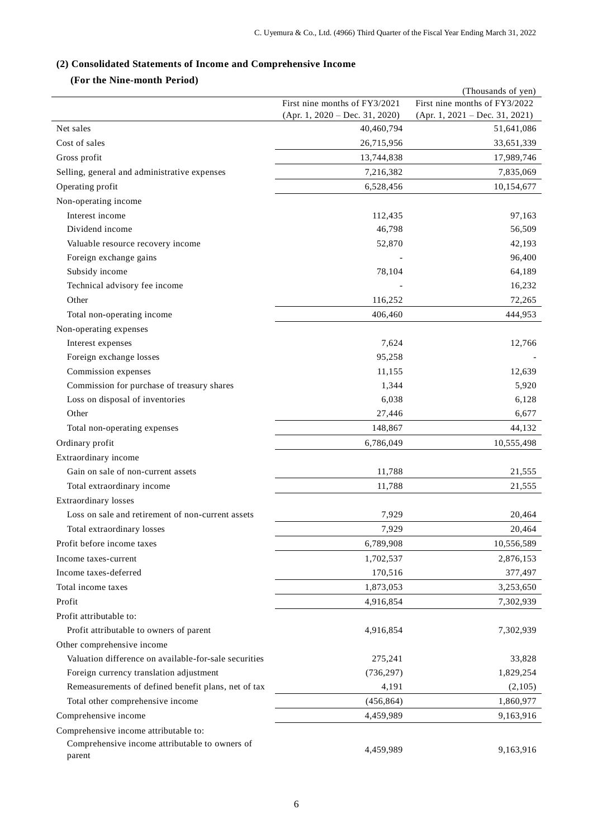# **(2) Consolidated Statements of Income and Comprehensive Income**

# **(For the Nine-month Period)**

|                                                                                  |                                                | (Thousands of yen)                             |
|----------------------------------------------------------------------------------|------------------------------------------------|------------------------------------------------|
|                                                                                  | First nine months of FY3/2021                  | First nine months of FY3/2022                  |
| Net sales                                                                        | $(Apr. 1, 2020 - Dec. 31, 2020)$<br>40,460,794 | $(Apr. 1, 2021 - Dec. 31, 2021)$<br>51,641,086 |
| Cost of sales                                                                    | 26,715,956                                     | 33,651,339                                     |
| Gross profit                                                                     | 13,744,838                                     | 17,989,746                                     |
|                                                                                  |                                                |                                                |
| Selling, general and administrative expenses                                     | 7,216,382                                      | 7,835,069                                      |
| Operating profit                                                                 | 6,528,456                                      | 10,154,677                                     |
| Non-operating income<br>Interest income                                          |                                                |                                                |
| Dividend income                                                                  | 112,435                                        | 97,163                                         |
|                                                                                  | 46,798                                         | 56,509                                         |
| Valuable resource recovery income                                                | 52,870                                         | 42,193                                         |
| Foreign exchange gains                                                           |                                                | 96,400                                         |
| Subsidy income                                                                   | 78,104                                         | 64,189                                         |
| Technical advisory fee income<br>Other                                           | 116,252                                        | 16,232<br>72,265                               |
| Total non-operating income                                                       | 406,460                                        | 444,953                                        |
|                                                                                  |                                                |                                                |
| Non-operating expenses                                                           |                                                |                                                |
| Interest expenses<br>Foreign exchange losses                                     | 7,624                                          | 12,766                                         |
|                                                                                  | 95,258                                         |                                                |
| Commission expenses                                                              | 11,155<br>1,344                                | 12,639<br>5,920                                |
| Commission for purchase of treasury shares<br>Loss on disposal of inventories    | 6,038                                          | 6,128                                          |
| Other                                                                            | 27,446                                         | 6,677                                          |
|                                                                                  | 148,867                                        | 44,132                                         |
| Total non-operating expenses                                                     |                                                |                                                |
| Ordinary profit                                                                  | 6,786,049                                      | 10,555,498                                     |
| Extraordinary income<br>Gain on sale of non-current assets                       | 11,788                                         | 21,555                                         |
|                                                                                  | 11,788                                         |                                                |
| Total extraordinary income                                                       |                                                | 21,555                                         |
| <b>Extraordinary losses</b><br>Loss on sale and retirement of non-current assets |                                                |                                                |
|                                                                                  | 7,929                                          | 20,464                                         |
| Total extraordinary losses                                                       | 7,929                                          | 20,464                                         |
| Profit before income taxes                                                       | 6,789,908                                      | 10,556,589                                     |
| Income taxes-current                                                             | 1,702,537                                      | 2,876,153                                      |
| Income taxes-deferred                                                            | 170,516                                        | 377,497                                        |
| Total income taxes                                                               | 1,873,053                                      | 3,253,650                                      |
| Profit                                                                           | 4,916,854                                      | 7,302,939                                      |
| Profit attributable to:                                                          |                                                |                                                |
| Profit attributable to owners of parent                                          | 4,916,854                                      | 7,302,939                                      |
| Other comprehensive income                                                       |                                                |                                                |
| Valuation difference on available-for-sale securities                            | 275,241                                        | 33,828                                         |
| Foreign currency translation adjustment                                          | (736, 297)                                     | 1,829,254                                      |
| Remeasurements of defined benefit plans, net of tax                              | 4,191                                          | (2,105)                                        |
| Total other comprehensive income                                                 | (456, 864)                                     | 1,860,977                                      |
| Comprehensive income                                                             | 4,459,989                                      | 9,163,916                                      |
| Comprehensive income attributable to:                                            |                                                |                                                |
| Comprehensive income attributable to owners of<br>parent                         | 4,459,989                                      | 9,163,916                                      |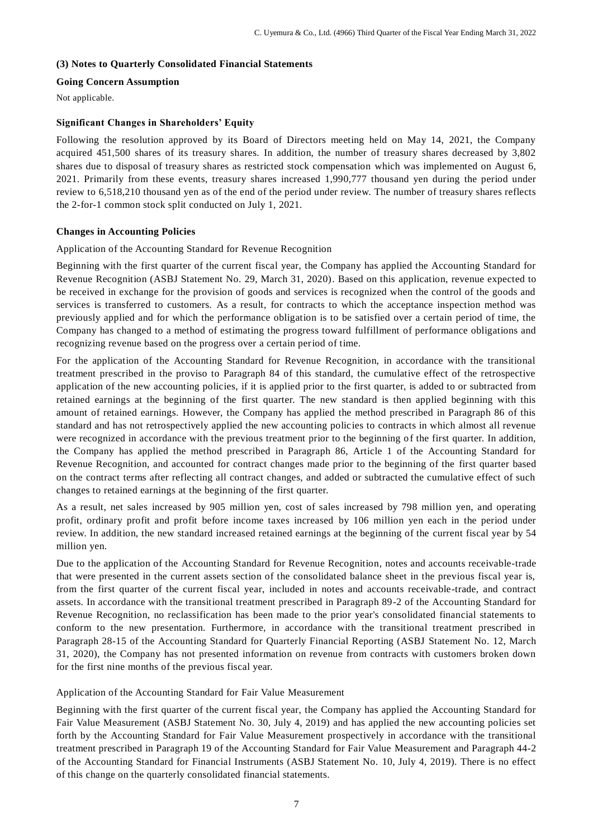## **(3) Notes to Quarterly Consolidated Financial Statements**

## **Going Concern Assumption**

Not applicable.

## **Significant Changes in Shareholders' Equity**

Following the resolution approved by its Board of Directors meeting held on May 14, 2021, the Company acquired 451,500 shares of its treasury shares. In addition, the number of treasury shares decreased by 3,802 shares due to disposal of treasury shares as restricted stock compensation which was implemented on August 6, 2021. Primarily from these events, treasury shares increased 1,990,777 thousand yen during the period under review to 6,518,210 thousand yen as of the end of the period under review. The number of treasury shares reflects the 2-for-1 common stock split conducted on July 1, 2021.

## **Changes in Accounting Policies**

Application of the Accounting Standard for Revenue Recognition

Beginning with the first quarter of the current fiscal year, the Company has applied the Accounting Standard for Revenue Recognition (ASBJ Statement No. 29, March 31, 2020). Based on this application, revenue expected to be received in exchange for the provision of goods and services is recognized when the control of the goods and services is transferred to customers. As a result, for contracts to which the acceptance inspection method was previously applied and for which the performance obligation is to be satisfied over a certain period of time, the Company has changed to a method of estimating the progress toward fulfillment of performance obligations and recognizing revenue based on the progress over a certain period of time.

For the application of the Accounting Standard for Revenue Recognition, in accordance with the transitional treatment prescribed in the proviso to Paragraph 84 of this standard, the cumulative effect of the retrospective application of the new accounting policies, if it is applied prior to the first quarter, is added to or subtracted from retained earnings at the beginning of the first quarter. The new standard is then applied beginning with this amount of retained earnings. However, the Company has applied the method prescribed in Paragraph 86 of this standard and has not retrospectively applied the new accounting policies to contracts in which almost all revenue were recognized in accordance with the previous treatment prior to the beginning of the first quarter. In addition, the Company has applied the method prescribed in Paragraph 86, Article 1 of the Accounting Standard for Revenue Recognition, and accounted for contract changes made prior to the beginning of the first quarter based on the contract terms after reflecting all contract changes, and added or subtracted the cumulative effect of such changes to retained earnings at the beginning of the first quarter.

As a result, net sales increased by 905 million yen, cost of sales increased by 798 million yen, and operating profit, ordinary profit and profit before income taxes increased by 106 million yen each in the period under review. In addition, the new standard increased retained earnings at the beginning of the current fiscal year by 54 million yen.

Due to the application of the Accounting Standard for Revenue Recognition, notes and accounts receivable-trade that were presented in the current assets section of the consolidated balance sheet in the previous fiscal year is, from the first quarter of the current fiscal year, included in notes and accounts receivable-trade, and contract assets. In accordance with the transitional treatment prescribed in Paragraph 89-2 of the Accounting Standard for Revenue Recognition, no reclassification has been made to the prior year's consolidated financial statements to conform to the new presentation. Furthermore, in accordance with the transitional treatment prescribed in Paragraph 28-15 of the Accounting Standard for Quarterly Financial Reporting (ASBJ Statement No. 12, March 31, 2020), the Company has not presented information on revenue from contracts with customers broken down for the first nine months of the previous fiscal year.

## Application of the Accounting Standard for Fair Value Measurement

Beginning with the first quarter of the current fiscal year, the Company has applied the Accounting Standard for Fair Value Measurement (ASBJ Statement No. 30, July 4, 2019) and has applied the new accounting policies set forth by the Accounting Standard for Fair Value Measurement prospectively in accordance with the transitional treatment prescribed in Paragraph 19 of the Accounting Standard for Fair Value Measurement and Paragraph 44-2 of the Accounting Standard for Financial Instruments (ASBJ Statement No. 10, July 4, 2019). There is no effect of this change on the quarterly consolidated financial statements.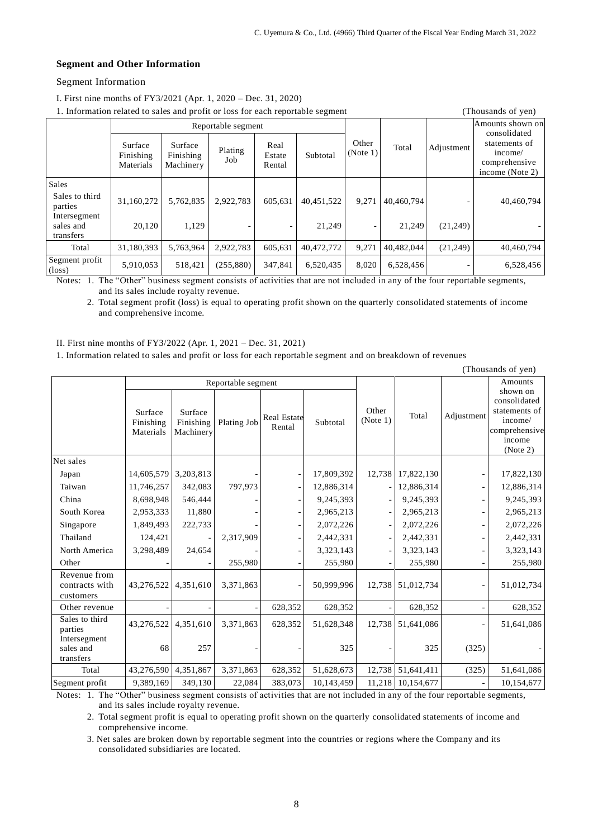### **Segment and Other Information**

## Segment Information

I. First nine months of FY3/2021 (Apr. 1, 2020 – Dec. 31, 2020)

 $\frac{1}{2}$  . In four related to sales and profit or loss for each reportable segment (Thousands of yen)

| 1. Information related to safes and profit or loss for each reportable segment<br>Thousands of year. |                                   |                                   |                |                          |                      |                   |                      |            |                                                                              |  |
|------------------------------------------------------------------------------------------------------|-----------------------------------|-----------------------------------|----------------|--------------------------|----------------------|-------------------|----------------------|------------|------------------------------------------------------------------------------|--|
|                                                                                                      | Reportable segment                |                                   |                |                          |                      |                   |                      |            | Amounts shown on                                                             |  |
|                                                                                                      | Surface<br>Finishing<br>Materials | Surface<br>Finishing<br>Machinery | Plating<br>Job | Real<br>Estate<br>Rental | Subtotal             | Other<br>(Note 1) | Total                | Adjustment | consolidated<br>statements of<br>income/<br>comprehensive<br>income (Note 2) |  |
| Sales<br>Sales to third<br>parties<br>Intersegment<br>sales and                                      | 31,160,272<br>20.120              | 5,762,835<br>1.129                | 2,922,783      | 605,631                  | 40,451,522<br>21,249 | 9,271             | 40,460,794<br>21.249 | (21,249)   | 40,460,794                                                                   |  |
| transfers                                                                                            |                                   |                                   |                |                          |                      | -                 |                      |            |                                                                              |  |
| Total                                                                                                | 31,180,393                        | 5,763,964                         | 2,922,783      | 605,631                  | 40,472,772           | 9,271             | 40,482,044           | (21,249)   | 40,460,794                                                                   |  |
| Segment profit<br>$(\text{loss})$                                                                    | 5,910,053                         | 518,421                           | (255, 880)     | 347,841                  | 6,520,435            | 8,020             | 6,528,456            |            | 6,528,456                                                                    |  |

Notes: 1. The "Other" business segment consists of activities that are not included in any of the four reportable segments, and its sales include royalty revenue.

2. Total segment profit (loss) is equal to operating profit shown on the quarterly consolidated statements of income and comprehensive income.

II. First nine months of FY3/2022 (Apr. 1, 2021 – Dec. 31, 2021)

1. Information related to sales and profit or loss for each reportable segment and on breakdown of revenues

|                                             |                                   |                                   |             |                              |            |                   |            |            | (Thousands of yen)                                                                          |
|---------------------------------------------|-----------------------------------|-----------------------------------|-------------|------------------------------|------------|-------------------|------------|------------|---------------------------------------------------------------------------------------------|
|                                             | Reportable segment                |                                   |             |                              |            |                   |            |            | Amounts                                                                                     |
|                                             | Surface<br>Finishing<br>Materials | Surface<br>Finishing<br>Machinery | Plating Job | <b>Real Estate</b><br>Rental | Subtotal   | Other<br>(Note 1) | Total      | Adjustment | shown on<br>consolidated<br>statements of<br>income/<br>comprehensive<br>income<br>(Note 2) |
| Net sales                                   |                                   |                                   |             |                              |            |                   |            |            |                                                                                             |
| Japan                                       | 14,605,579                        | 3,203,813                         |             |                              | 17,809,392 | 12,738            | 17,822,130 |            | 17,822,130                                                                                  |
| Taiwan                                      | 11,746,257                        | 342,083                           | 797,973     | $\overline{\phantom{a}}$     | 12,886,314 |                   | 12,886,314 |            | 12,886,314                                                                                  |
| China                                       | 8,698,948                         | 546,444                           |             |                              | 9,245,393  |                   | 9,245,393  |            | 9,245,393                                                                                   |
| South Korea                                 | 2,953,333                         | 11,880                            |             |                              | 2,965,213  |                   | 2,965,213  |            | 2,965,213                                                                                   |
| Singapore                                   | 1,849,493                         | 222,733                           |             |                              | 2,072,226  |                   | 2,072,226  |            | 2,072,226                                                                                   |
| Thailand                                    | 124,421                           |                                   | 2,317,909   |                              | 2,442,331  |                   | 2,442,331  |            | 2,442,331                                                                                   |
| North America                               | 3,298,489                         | 24,654                            |             |                              | 3,323,143  |                   | 3,323,143  |            | 3,323,143                                                                                   |
| Other                                       |                                   |                                   | 255,980     |                              | 255,980    |                   | 255,980    |            | 255,980                                                                                     |
| Revenue from<br>contracts with<br>customers | 43,276,522                        | 4,351,610                         | 3,371,863   |                              | 50,999,996 | 12,738            | 51,012,734 |            | 51,012,734                                                                                  |
| Other revenue                               |                                   |                                   |             | 628,352                      | 628,352    |                   | 628,352    |            | 628,352                                                                                     |
| Sales to third<br>parties                   | 43,276,522                        | 4,351,610                         | 3,371,863   | 628,352                      | 51,628,348 | 12,738            | 51,641,086 |            | 51,641,086                                                                                  |
| Intersegment<br>sales and<br>transfers      | 68                                | 257                               |             |                              | 325        |                   | 325        | (325)      |                                                                                             |
| Total                                       | 43,276,590                        | 4,351,867                         | 3,371,863   | 628,352                      | 51,628,673 | 12,738            | 51,641,411 | (325)      | 51,641,086                                                                                  |
| Segment profit                              | 9,389,169                         | 349,130                           | 22,084      | 383,073                      | 10,143,459 | 11,218            | 10,154,677 |            | 10,154,677                                                                                  |

Notes: 1. The "Other" business segment consists of activities that are not included in any of the four reportable segments, and its sales include royalty revenue.

2. Total segment profit is equal to operating profit shown on the quarterly consolidated statements of income and comprehensive income.

3. Net sales are broken down by reportable segment into the countries or regions where the Company and its consolidated subsidiaries are located.